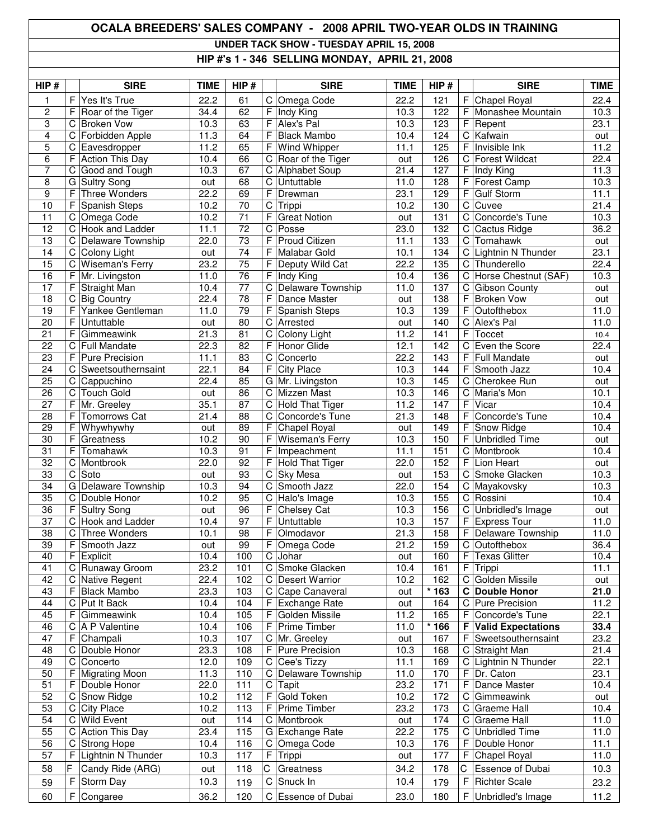## **OCALA BREEDERS' SALES COMPANY - 2008 APRIL TWO-YEAR OLDS IN TRAINING UNDER TACK SHOW - TUESDAY APRIL 15, 2008 HIP #'s 1 - 346 SELLING MONDAY, APRIL 21, 2008**

| HIP#                  |        | <b>SIRE</b>                        | <b>TIME</b>       | HIP#            |                | <b>SIRE</b>                  | <b>TIME</b>       | HIP#       |                | <b>SIRE</b>                       | <b>TIME</b>  |
|-----------------------|--------|------------------------------------|-------------------|-----------------|----------------|------------------------------|-------------------|------------|----------------|-----------------------------------|--------------|
| 1                     | F      | Yes It's True                      | 22.2              | 61              | C              | Omega Code                   | 22.2              | 121        | F              | Chapel Royal                      | 22.4         |
| $\overline{c}$        | F      | Roar of the Tiger                  | 34.4              | 62              | F              | Indy King                    | 10.3              | 122        | F              | Monashee Mountain                 | 10.3         |
| 3                     | С      | <b>Broken Vow</b>                  | 10.3              | 63              | F              | Alex's Pal                   | 10.3              | 123        | F              | Repent                            | 23.1         |
| $\overline{4}$        | С      | Forbidden Apple                    | 11.3              | 64              | F              | <b>Black Mambo</b>           | 10.4              | 124        | C              | Kafwain                           | out          |
| 5                     | C      | Eavesdropper                       | 11.2              | 65              | F              | Wind Whipper                 | 11.1              | 125        | F              | Invisible Ink                     | 11.2         |
| 6                     | F      | <b>Action This Day</b>             | 10.4              | 66              | C              | Roar of the Tiger            | out               | 126        | С              | <b>Forest Wildcat</b>             | 22.4         |
| 7                     | C      | Good and Tough                     | 10.3              | 67              | C              | Alphabet Soup                | 21.4              | 127        | F              | Indy King                         | 11.3         |
| 8                     |        | G Sultry Song                      | out               | 68              | C              | Untuttable                   | 11.0              | 128        | F              | Forest Camp                       | 10.3         |
| 9                     | F      | Three Wonders                      | 22.2              | 69              | F              | Drewman                      | 23.1              | 129        | F              | <b>Gulf Storm</b>                 | 11.1         |
| 10                    | F      | Spanish Steps                      | 10.2              | $\overline{70}$ | $\overline{C}$ | Trippi                       | 10.2              | 130        | $\overline{C}$ | Cuvee                             | 21.4         |
| 11                    | C      | Omega Code                         | 10.2              | 71              | F              | <b>Great Notion</b>          | out               | 131        | $\mathbf C$    | Concorde's Tune                   | 10.3         |
| $\overline{12}$       | C      | Hook and Ladder                    | 11.1              | $\overline{72}$ | C              | Posse                        | 23.0              | 132        | C              | Cactus Ridge                      | 36.2         |
| 13                    | C      | Delaware Township                  | 22.0              | $\overline{73}$ | F              | <b>Proud Citizen</b>         | 11.1              | 133        |                | C Tomahawk                        | out          |
| 14<br>$\overline{15}$ | C      | Colony Light                       | out<br>23.2       | 74<br>75        | F              | Malabar Gold                 | 10.1<br>22.2      | 134        | C<br>C         | Lightnin N Thunder<br>Thunderello | 23.1<br>22.4 |
| 16                    | С      | Wiseman's Ferry                    | 11.0              | 76              | F<br>F         | Deputy Wild Cat<br>Indy King | 10.4              | 135<br>136 |                | Horse Chestnut (SAF)              | 10.3         |
| 17                    | F<br>F | Mr. Livingston                     | 10.4              | $\overline{77}$ | C              | Delaware Township            | 11.0              | 137        | С<br>C         | <b>Gibson County</b>              |              |
| 18                    | С      | Straight Man<br><b>Big Country</b> | 22.4              | 78              | F              | Dance Master                 | out               | 138        | F              | <b>Broken Vow</b>                 | out          |
| 19                    | F      | Yankee Gentleman                   | 11.0              | 79              | F              | Spanish Steps                | 10.3              | 139        | F              | Outofthebox                       | out<br>11.0  |
| 20                    | F      | Untuttable                         | out               | 80              | C              | Arrested                     | out               | 140        | C              | Alex's Pal                        | 11.0         |
| 21                    | F      | Gimmeawink                         | $\overline{2}1.3$ | 81              | С              | Colony Light                 | 11.2              | 141        | F              | Toccet                            |              |
| 22                    | С      | <b>Full Mandate</b>                | 22.3              | $\overline{82}$ | F              | Honor Glide                  | 12.1              | 142        | С              | Even the Score                    | 10.4<br>22.4 |
| 23                    | F      | <b>Pure Precision</b>              | 11.1              | 83              | C              | Concerto                     | 22.2              | 143        | F              | <b>Full Mandate</b>               |              |
| 24                    | С      | Sweetsouthernsaint                 | 22.1              | 84              | F              | <b>City Place</b>            | 10.3              | 144        | F              | Smooth Jazz                       | out<br>10.4  |
| 25                    | C      | Cappuchino                         | 22.4              | 85              |                | G Mr. Livingston             | 10.3              | 145        | C              | Cherokee Run                      | out          |
| 26                    | C      | <b>Touch Gold</b>                  | out               | 86              | $\mathsf C$    | Mizzen Mast                  | 10.3              | 146        | C              | Maria's Mon                       | 10.1         |
| 27                    | F      | Mr. Greeley                        | 35.1              | 87              | C              | Hold That Tiger              | 11.2              | 147        | F              | Vicar                             | 10.4         |
| 28                    | F      | Tomorrows Cat                      | 21.4              | $\overline{88}$ | С              | Concorde's Tune              | $\overline{21.3}$ | 148        | F              | Concorde's Tune                   | 10.4         |
| 29                    | F      | Whywhywhy                          | out               | 89              | F              | Chapel Royal                 | out               | 149        | F              | Snow Ridge                        | 10.4         |
| 30                    | F      | Greatness                          | 10.2              | 90              | F              | Wiseman's Ferry              | 10.3              | 150        | F              | <b>Unbridled Time</b>             | out          |
| 31                    | F      | Tomahawk                           | 10.3              | 91              | F              | Impeachment                  | 11.1              | 151        |                | C Montbrook                       | 10.4         |
| 32                    | C      | Montbrook                          | 22.0              | 92              | F              | <b>Hold That Tiger</b>       | 22.0              | 152        | F              | Lion Heart                        | out          |
| 33                    | C      | Soto                               | out               | 93              | C              | Sky Mesa                     | out               | 153        |                | C Smoke Glacken                   | 10.3         |
| 34                    | G      | Delaware Township                  | 10.3              | 94              | С              | Smooth Jazz                  | 22.0              | 154        |                | C Mayakovsky                      | 10.3         |
| $\overline{35}$       | C      | Double Honor                       | 10.2              | 95              | C              | Halo's Image                 | 10.3              | 155        | C              | Rossini                           | 10.4         |
| 36                    | F      | Sultry Song                        | out               | 96              | F              | Chelsey Cat                  | 10.3              | 156        | C              | Unbridled's Image                 | out          |
| 37                    | C      | <b>Hook and Ladder</b>             | 10.4              | 97              | F              | Untuttable                   | 10.3              | 157        | F              | Express Tour                      | 11.0         |
| $\overline{38}$       | C      | <b>Three Wonders</b>               | 10.1              | $\overline{98}$ | F              | Olmodavor                    | 21.3              | 158        |                | F Delaware Township               | 11.0         |
| 39                    | F      | Smooth Jazz                        | out               | 99              | F              | Omega Code                   | 21.2              | 159        |                | C Outofthebox                     | 36.4         |
| 40                    | F      | Explicit                           | 10.4              | 100             | C              | Johar                        | out               | 160        |                | F Texas Glitter                   | 10.4         |
| 41                    | C      | Runaway Groom                      | 23.2              | 101             | $\mathbf C$    | Smoke Glacken                | 10.4              | 161        | F              | Trippi                            | 11.1         |
| 42                    | C      | Native Regent                      | 22.4              | 102             |                | C Desert Warrior             | 10.2              | 162        | C              | Golden Missile                    | out          |
| 43                    | F      | <b>Black Mambo</b>                 | 23.3              | 103             | C              | Cape Canaveral               | out               | $*163$     |                | C Double Honor                    | 21.0         |
| 44                    | C      | Put It Back                        | 10.4              | 104             | F              | Exchange Rate                | out               | 164        | C              | <b>Pure Precision</b>             | 11.2         |
| 45                    | F      | Gimmeawink                         | 10.4              | 105             | F              | Golden Missile               | 11.2              | 165        | F              | Concorde's Tune                   | 22.1         |
| 46                    | С      | A P Valentine                      | 10.4              | 106             | F              | Prime Timber                 | 11.0              | $*166$     | F              | <b>Valid Expectations</b>         | 33.4         |
| 47                    | F      | Champali                           | 10.3              | 107             | C              | Mr. Greeley                  | out               | 167        | F              | Sweetsouthernsaint                | 23.2         |
| 48                    | C      | Double Honor                       | 23.3              | 108             | F              | Pure Precision               | 10.3              | 168        |                | C Straight Man                    | 21.4         |
| 49                    | С      | Concerto                           | 12.0              | 109             | C              | Cee's Tizzy                  | 11.1              | 169        | C              | Lightnin N Thunder                | 22.1         |
| 50                    | F      | <b>Migrating Moon</b>              | 11.3              | 110             | C              | Delaware Township            | 11.0              | 170        | F              | Dr. Caton                         | 23.1         |
| 51                    | F      | Double Honor                       | 22.0              | 111             | ${\rm C}$      | Tapit                        | 23.2              | 171        | F              | Dance Master                      | 10.4         |
| 52                    | C      | Snow Ridge                         | 10.2              | 112             | F              | Gold Token                   | 10.2              | 172        | C              | Gimmeawink                        | out          |
| 53                    | C      | <b>City Place</b>                  | 10.2              | 113             | F              | Prime Timber                 | 23.2              | 173        | C              | Graeme Hall                       | 10.4         |
| 54                    | С      | <b>Wild Event</b>                  | out               | 114             | C              | Montbrook                    | out               | 174        |                | C Graeme Hall                     | 11.0         |
| 55                    | C      | <b>Action This Day</b>             | 23.4              | 115             |                | G Exchange Rate              | 22.2              | 175        | C              | <b>Unbridled Time</b>             | 11.0         |
| 56                    | C      | <b>Strong Hope</b>                 | 10.4              | 116             | C              | Omega Code                   | 10.3              | 176        | F              | Double Honor                      | 11.1         |
| 57                    | F      | Lightnin N Thunder                 | 10.3              | 117             | F              | Trippi                       | out               | 177        | F              | Chapel Royal                      | 11.0         |
| 58                    | F      | Candy Ride (ARG)                   | out               | 118             | С              | Greatness                    | 34.2              | 178        | С              | Essence of Dubai                  | 10.3         |
| 59                    | F      | Storm Day                          | 10.3              | 119             | C              | Snuck In                     | 10.4              | 179        | F              | <b>Richter Scale</b>              | 23.2         |
| 60                    | F      | Congaree                           | 36.2              | 120             |                | C Essence of Dubai           | 23.0              | 180        |                | F Unbridled's Image               | 11.2         |
|                       |        |                                    |                   |                 |                |                              |                   |            |                |                                   |              |